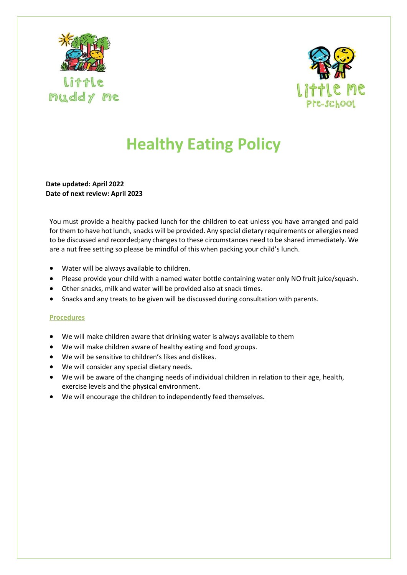



## **Healthy Eating Policy**

**Date updated: April 2022 Date of next review: April 2023**

You must provide a healthy packed lunch for the children to eat unless you have arranged and paid for them to have hot lunch, snacks will be provided. Any special dietary requirements or allergies need to be discussed and recorded;any changes to these circumstances need to be shared immediately. We are a nut free setting so please be mindful of this when packing your child's lunch.

- Water will be always available to children.
- Please provide your child with a named water bottle containing water only NO fruit juice/squash.
- Other snacks, milk and water will be provided also at snack times.
- Snacks and any treats to be given will be discussed during consultation with parents.

## **Procedures**

- We will make children aware that drinking water is always available to them
- We will make children aware of healthy eating and food groups.
- We will be sensitive to children's likes and dislikes.
- We will consider any special dietary needs.
- We will be aware of the changing needs of individual children in relation to their age, health, exercise levels and the physical environment.
- We will encourage the children to independently feed themselves.